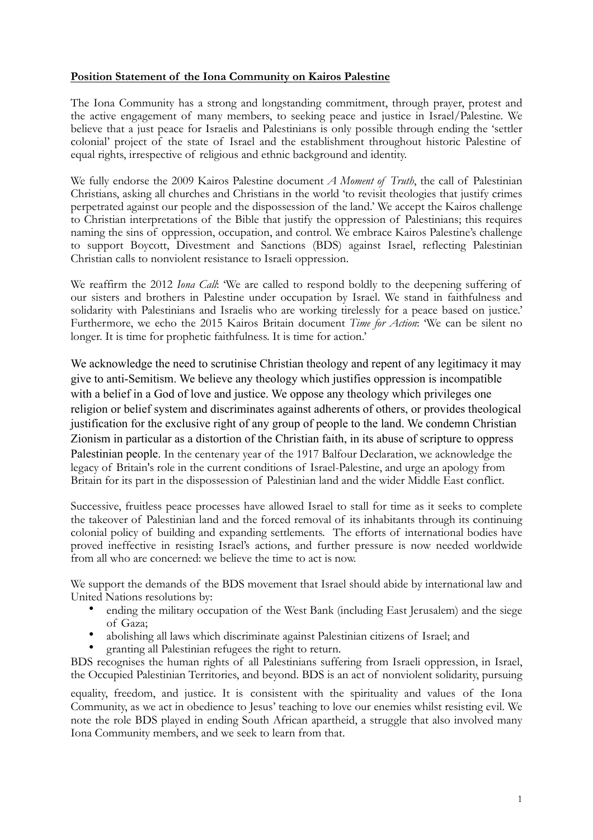## **Position Statement of the Iona Community on Kairos Palestine**

The Iona Community has a strong and longstanding commitment, through prayer, protest and the active engagement of many members, to seeking peace and justice in Israel/Palestine. We believe that a just peace for Israelis and Palestinians is only possible through ending the 'settler colonial' project of the state of Israel and the establishment throughout historic Palestine of equal rights, irrespective of religious and ethnic background and identity.

We fully endorse the 2009 Kairos Palestine document *A Moment of Truth*, the call of Palestinian Christians, asking all churches and Christians in the world 'to revisit theologies that justify crimes perpetrated against our people and the dispossession of the land.' We accept the Kairos challenge to Christian interpretations of the Bible that justify the oppression of Palestinians; this requires naming the sins of oppression, occupation, and control. We embrace Kairos Palestine's challenge to support Boycott, Divestment and Sanctions (BDS) against Israel, reflecting Palestinian Christian calls to nonviolent resistance to Israeli oppression.

We reaffirm the 2012 *Iona Call*: 'We are called to respond boldly to the deepening suffering of our sisters and brothers in Palestine under occupation by Israel. We stand in faithfulness and solidarity with Palestinians and Israelis who are working tirelessly for a peace based on justice.' Furthermore, we echo the 2015 Kairos Britain document *Time for Action*: 'We can be silent no longer. It is time for prophetic faithfulness. It is time for action.'

We acknowledge the need to scrutinise Christian theology and repent of any legitimacy it may give to anti-Semitism. We believe any theology which justifies oppression is incompatible with a belief in a God of love and justice. We oppose any theology which privileges one religion or belief system and discriminates against adherents of others, or provides theological justification for the exclusive right of any group of people to the land. We condemn Christian Zionism in particular as a distortion of the Christian faith, in its abuse of scripture to oppress Palestinian people. In the centenary year of the 1917 Balfour Declaration, we acknowledge the legacy of Britain's role in the current conditions of Israel-Palestine, and urge an apology from Britain for its part in the dispossession of Palestinian land and the wider Middle East conflict.

Successive, fruitless peace processes have allowed Israel to stall for time as it seeks to complete the takeover of Palestinian land and the forced removal of its inhabitants through its continuing colonial policy of building and expanding settlements. The efforts of international bodies have proved ineffective in resisting Israel's actions, and further pressure is now needed worldwide from all who are concerned: we believe the time to act is now.

We support the demands of the BDS movement that Israel should abide by international law and United Nations resolutions by:

- ending the military occupation of the West Bank (including East Jerusalem) and the siege of Gaza;
- abolishing all laws which discriminate against Palestinian citizens of Israel; and
- granting all Palestinian refugees the right to return.

BDS recognises the human rights of all Palestinians suffering from Israeli oppression, in Israel, the Occupied Palestinian Territories, and beyond. BDS is an act of nonviolent solidarity, pursuing

equality, freedom, and justice. It is consistent with the spirituality and values of the Iona Community, as we act in obedience to Jesus' teaching to love our enemies whilst resisting evil. We note the role BDS played in ending South African apartheid, a struggle that also involved many Iona Community members, and we seek to learn from that.